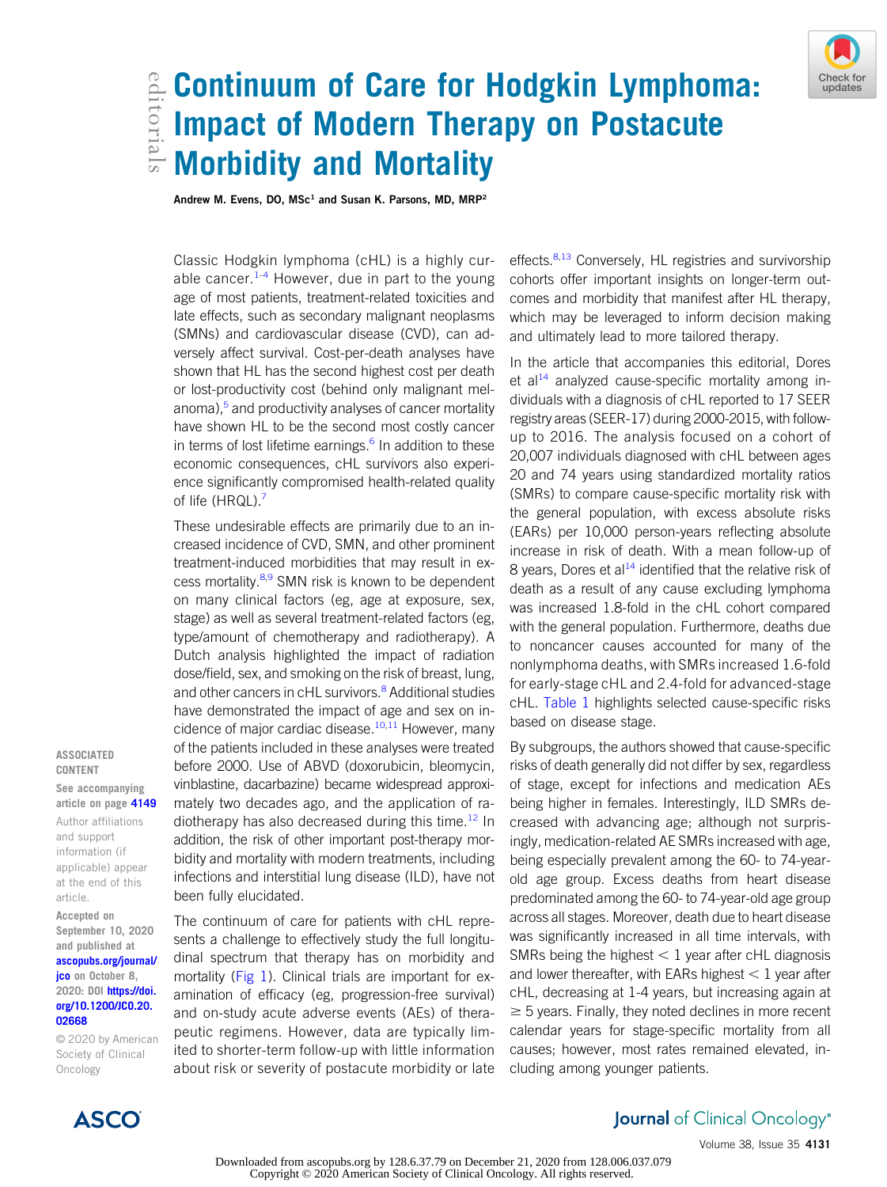# edic Continuum of Care for Hodgkin Lymphoma:<br>Edit Impact of Modern Therapy on Postacute<br>Edit Morbidity and Mortality Impact of Modern Therapy on Postacute Morbidity and Mortality

Andrew M. Evens, DO,  $MSc<sup>1</sup>$  and Susan K. Parsons, MD,  $MRP<sup>2</sup>$ 

Classic Hodgkin lymphoma (cHL) is a highly cur-able cancer.<sup>[1](#page-3-0)-[4](#page-3-1)</sup> However, due in part to the young age of most patients, treatment-related toxicities and late effects, such as secondary malignant neoplasms (SMNs) and cardiovascular disease (CVD), can adversely affect survival. Cost-per-death analyses have shown that HL has the second highest cost per death or lost-productivity cost (behind only malignant melanoma),<sup>5</sup> and productivity analyses of cancer mortality have shown HL to be the second most costly cancer in terms of lost lifetime earnings. $6$  In addition to these economic consequences, cHL survivors also experience significantly compromised health-related quality of life (HRQL).<sup>[7](#page-3-4)</sup>

These undesirable effects are primarily due to an increased incidence of CVD, SMN, and other prominent treatment-induced morbidities that may result in ex-cess mortality.<sup>[8,](#page-3-5)[9](#page-3-6)</sup> SMN risk is known to be dependent on many clinical factors (eg, age at exposure, sex, stage) as well as several treatment-related factors (eg, type/amount of chemotherapy and radiotherapy). A Dutch analysis highlighted the impact of radiation dose/field, sex, and smoking on the risk of breast, lung, and other cancers in cHL survivors.<sup>[8](#page-3-5)</sup> Additional studies have demonstrated the impact of age and sex on in-cidence of major cardiac disease.<sup>[10,](#page-3-7)[11](#page-3-8)</sup> However, many of the patients included in these analyses were treated before 2000. Use of ABVD (doxorubicin, bleomycin, vinblastine, dacarbazine) became widespread approximately two decades ago, and the application of ra-diotherapy has also decreased during this time.<sup>[12](#page-3-9)</sup> In addition, the risk of other important post-therapy morbidity and mortality with modern treatments, including infections and interstitial lung disease (ILD), have not been fully elucidated.

The continuum of care for patients with cHL represents a challenge to effectively study the full longitudinal spectrum that therapy has on morbidity and mortality [\(Fig 1\)](#page-1-0). Clinical trials are important for examination of efficacy (eg, progression-free survival) and on-study acute adverse events (AEs) of therapeutic regimens. However, data are typically limited to shorter-term follow-up with little information about risk or severity of postacute morbidity or late effects.<sup>[8](#page-3-5)[,13](#page-3-10)</sup> Conversely. HL registries and survivorship cohorts offer important insights on longer-term outcomes and morbidity that manifest after HL therapy, which may be leveraged to inform decision making and ultimately lead to more tailored therapy.

In the article that accompanies this editorial, Dores et al $^{14}$  $^{14}$  $^{14}$  analyzed cause-specific mortality among individuals with a diagnosis of cHL reported to 17 SEER registry areas (SEER-17) during 2000-2015, with followup to 2016. The analysis focused on a cohort of 20,007 individuals diagnosed with cHL between ages 20 and 74 years using standardized mortality ratios (SMRs) to compare cause-specific mortality risk with the general population, with excess absolute risks (EARs) per 10,000 person-years reflecting absolute increase in risk of death. With a mean follow-up of 8 years, Dores et al $14$  identified that the relative risk of death as a result of any cause excluding lymphoma was increased 1.8-fold in the cHL cohort compared with the general population. Furthermore, deaths due to noncancer causes accounted for many of the nonlymphoma deaths, with SMRs increased 1.6-fold for early-stage cHL and 2.4-fold for advanced-stage cHL. [Table 1](#page-1-1) highlights selected cause-specific risks based on disease stage.

By subgroups, the authors showed that cause-specific risks of death generally did not differ by sex, regardless of stage, except for infections and medication AEs being higher in females. Interestingly, ILD SMRs decreased with advancing age; although not surprisingly, medication-related AE SMRs increased with age, being especially prevalent among the 60- to 74-yearold age group. Excess deaths from heart disease predominated among the 60- to 74-year-old age group across all stages. Moreover, death due to heart disease was significantly increased in all time intervals, with SMRs being the highest  $< 1$  year after cHL diagnosis and lower thereafter, with EARs highest  $< 1$  year after cHL, decreasing at 1-4 years, but increasing again at  $\geq$  5 years. Finally, they noted declines in more recent calendar years for stage-specific mortality from all causes; however, most rates remained elevated, including among younger patients.



© 2020 by American Society of Clinical Oncology

ASSOCIATED CONTENT See accompanying article on page [4149](http://ascopubs.org/doi/full/10.1200/JCO.20.00264) Author affiliations and support information (if applicable) appear at the end of this

article. Accepted on September 10, 2020 and published at [ascopubs.org/journal/](http://ascopubs.org/journal/jco) [jco](http://ascopubs.org/journal/jco) on October 8, 2020: DOI [https://doi.](http://ascopubs.org/doi/full/10.1200/JCO.20.02668) [org/10.1200/JCO.20.](http://ascopubs.org/doi/full/10.1200/JCO.20.02668)

[02668](http://ascopubs.org/doi/full/10.1200/JCO.20.02668)

Journal of Clinical Oncology®

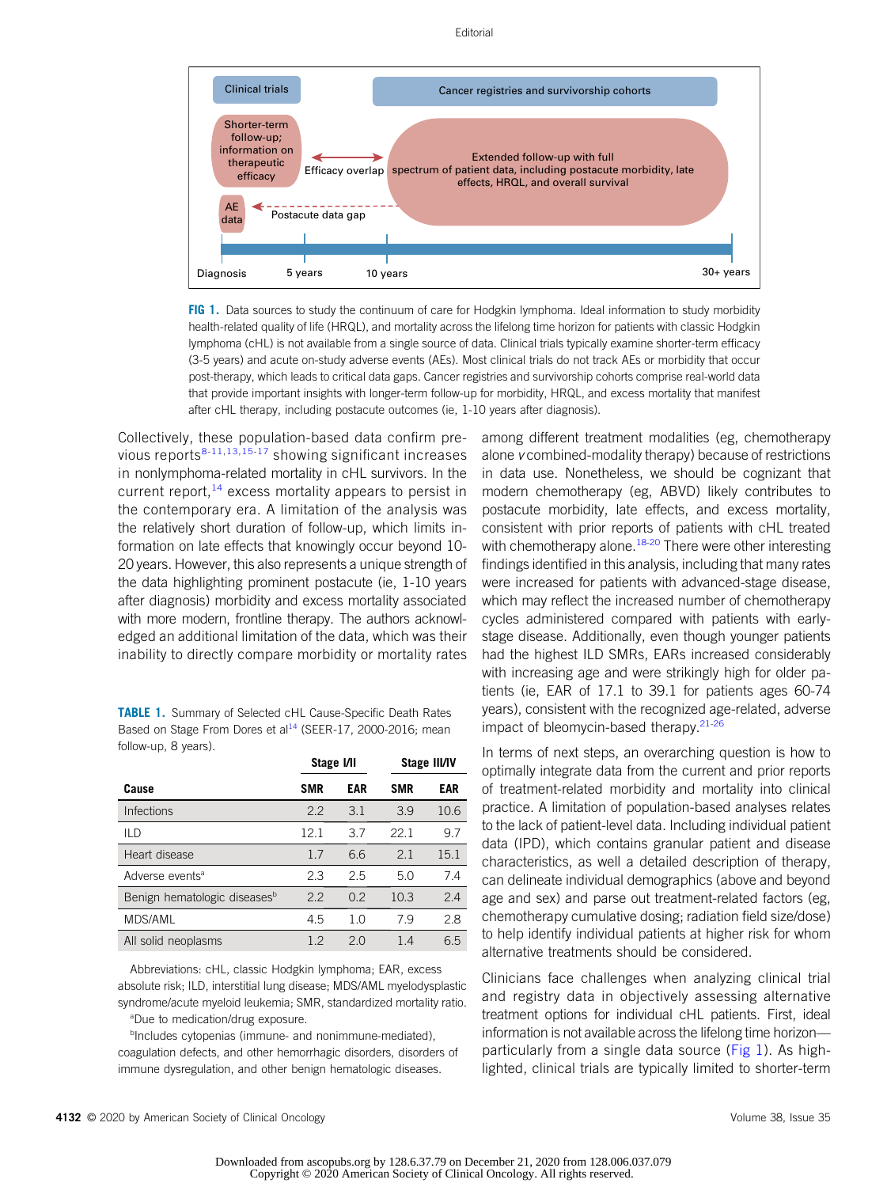#### Editorial



<span id="page-1-0"></span>FIG 1. Data sources to study the continuum of care for Hodgkin lymphoma. Ideal information to study morbidity health-related quality of life (HRQL), and mortality across the lifelong time horizon for patients with classic Hodgkin lymphoma (cHL) is not available from a single source of data. Clinical trials typically examine shorter-term efficacy (3-5 years) and acute on-study adverse events (AEs). Most clinical trials do not track AEs or morbidity that occur post-therapy, which leads to critical data gaps. Cancer registries and survivorship cohorts comprise real-world data that provide important insights with longer-term follow-up for morbidity, HRQL, and excess mortality that manifest after cHL therapy, including postacute outcomes (ie, 1-10 years after diagnosis).

Collectively, these population-based data confirm previous reports $8-11,13,15-17$  $8-11,13,15-17$  $8-11,13,15-17$  $8-11,13,15-17$  $8-11,13,15-17$  $8-11,13,15-17$  $8-11,13,15-17$  $8-11,13,15-17$  showing significant increases in nonlymphoma-related mortality in cHL survivors. In the current report, $14$  excess mortality appears to persist in the contemporary era. A limitation of the analysis was the relatively short duration of follow-up, which limits information on late effects that knowingly occur beyond 10- 20 years. However, this also represents a unique strength of the data highlighting prominent postacute (ie, 1-10 years after diagnosis) morbidity and excess mortality associated with more modern, frontline therapy. The authors acknowledged an additional limitation of the data, which was their inability to directly compare morbidity or mortality rates

<span id="page-1-1"></span>

| <b>TABLE 1.</b> Summary of Selected cHL Cause-Specific Death Rates      |
|-------------------------------------------------------------------------|
| Based on Stage From Dores et al <sup>14</sup> (SEER-17, 2000-2016: mean |
| follow-up, 8 years).                                                    |

|                                          | Stage I/II |            | <b>Stage III/IV</b> |            |
|------------------------------------------|------------|------------|---------------------|------------|
| Cause                                    | <b>SMR</b> | <b>EAR</b> | <b>SMR</b>          | <b>EAR</b> |
| <b>Infections</b>                        | 2.2        | 3.1        | 3.9                 | 10.6       |
| ILD                                      | 12.1       | 3.7        | 22.1                | 9.7        |
| Heart disease                            | 17         | 66         | 2.1                 | 15.1       |
| Adverse events <sup>a</sup>              | 2.3        | 2.5        | 5.0                 | 7.4        |
| Benign hematologic diseases <sup>b</sup> | 2.2        | 0.2        | 10.3                | 2.4        |
| MDS/AML                                  | 4.5        | 1.0        | 79                  | 2.8        |
| All solid neoplasms                      | 1.2        | 20         | 1.4                 | 6.5        |

Abbreviations: cHL, classic Hodgkin lymphoma; EAR, excess absolute risk; ILD, interstitial lung disease; MDS/AML myelodysplastic syndrome/acute myeloid leukemia; SMR, standardized mortality ratio.

a Due to medication/drug exposure.

bIncludes cytopenias (immune- and nonimmune-mediated), coagulation defects, and other hemorrhagic disorders, disorders of immune dysregulation, and other benign hematologic diseases.

among different treatment modalities (eg, chemotherapy alone v combined-modality therapy) because of restrictions in data use. Nonetheless, we should be cognizant that modern chemotherapy (eg, ABVD) likely contributes to postacute morbidity, late effects, and excess mortality, consistent with prior reports of patients with cHL treated with chemotherapy alone.<sup>[18-](#page-3-14)[20](#page-3-15)</sup> There were other interesting findings identified in this analysis, including that many rates were increased for patients with advanced-stage disease, which may reflect the increased number of chemotherapy cycles administered compared with patients with earlystage disease. Additionally, even though younger patients had the highest ILD SMRs, EARs increased considerably with increasing age and were strikingly high for older patients (ie, EAR of 17.1 to 39.1 for patients ages 60-74 years), consistent with the recognized age-related, adverse impact of bleomycin-based therapy.<sup>[21-](#page-3-16)[26](#page-3-17)</sup>

In terms of next steps, an overarching question is how to optimally integrate data from the current and prior reports of treatment-related morbidity and mortality into clinical practice. A limitation of population-based analyses relates to the lack of patient-level data. Including individual patient data (IPD), which contains granular patient and disease characteristics, as well a detailed description of therapy, can delineate individual demographics (above and beyond age and sex) and parse out treatment-related factors (eg, chemotherapy cumulative dosing; radiation field size/dose) to help identify individual patients at higher risk for whom alternative treatments should be considered.

Clinicians face challenges when analyzing clinical trial and registry data in objectively assessing alternative treatment options for individual cHL patients. First, ideal information is not available across the lifelong time horizon— particularly from a single data source [\(Fig 1\)](#page-1-0). As highlighted, clinical trials are typically limited to shorter-term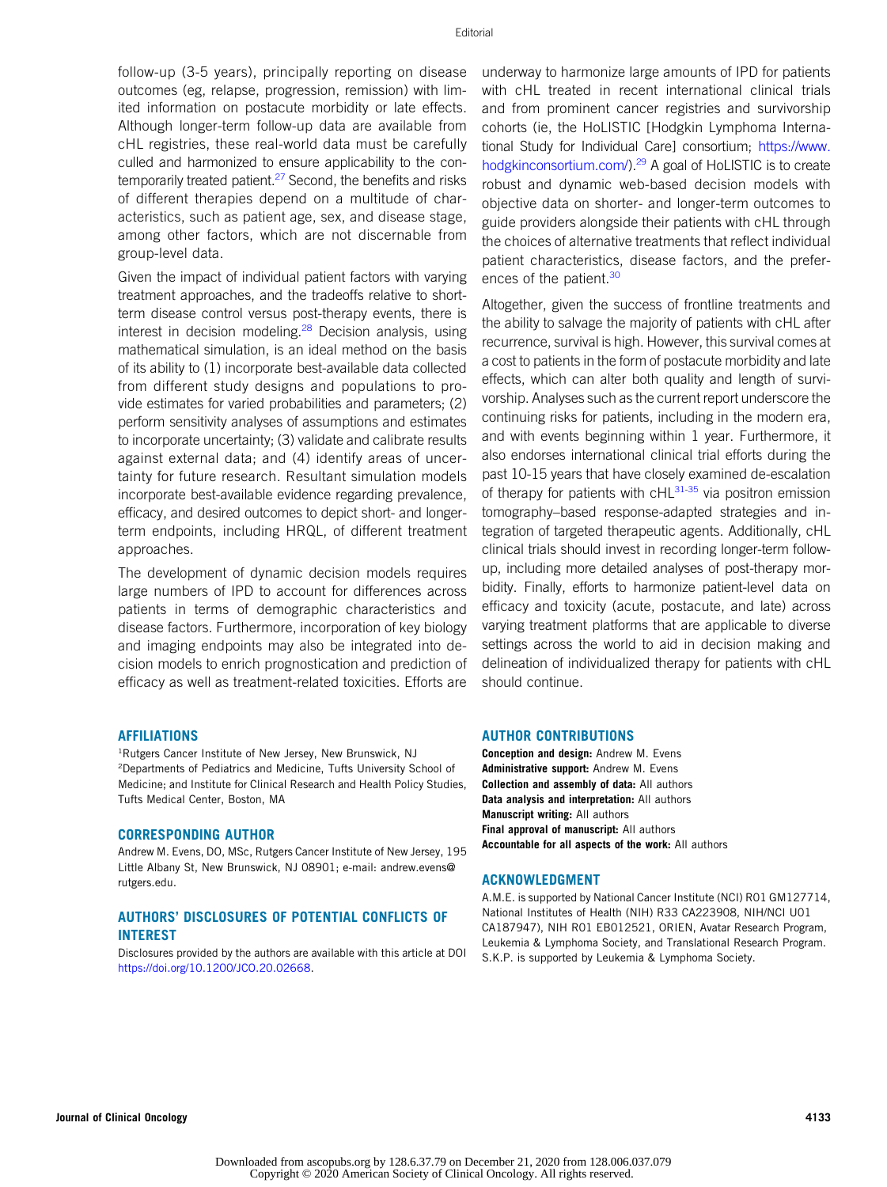follow-up (3-5 years), principally reporting on disease outcomes (eg, relapse, progression, remission) with limited information on postacute morbidity or late effects. Although longer-term follow-up data are available from cHL registries, these real-world data must be carefully culled and harmonized to ensure applicability to the contemporarily treated patient.<sup>27</sup> Second, the benefits and risks of different therapies depend on a multitude of characteristics, such as patient age, sex, and disease stage, among other factors, which are not discernable from group-level data.

Given the impact of individual patient factors with varying treatment approaches, and the tradeoffs relative to shortterm disease control versus post-therapy events, there is interest in decision modeling. $28$  Decision analysis, using mathematical simulation, is an ideal method on the basis of its ability to (1) incorporate best-available data collected from different study designs and populations to provide estimates for varied probabilities and parameters; (2) perform sensitivity analyses of assumptions and estimates to incorporate uncertainty; (3) validate and calibrate results against external data; and (4) identify areas of uncertainty for future research. Resultant simulation models incorporate best-available evidence regarding prevalence, efficacy, and desired outcomes to depict short- and longerterm endpoints, including HRQL, of different treatment approaches.

The development of dynamic decision models requires large numbers of IPD to account for differences across patients in terms of demographic characteristics and disease factors. Furthermore, incorporation of key biology and imaging endpoints may also be integrated into decision models to enrich prognostication and prediction of efficacy as well as treatment-related toxicities. Efforts are

# AFFILIATIONS

<sup>1</sup>Rutgers Cancer Institute of New Jersey, New Brunswick, NJ <sup>2</sup>Departments of Pediatrics and Medicine, Tufts University School of Medicine; and Institute for Clinical Research and Health Policy Studies, Tufts Medical Center, Boston, MA

### CORRESPONDING AUTHOR

Andrew M. Evens, DO, MSc, Rutgers Cancer Institute of New Jersey, 195 Little Albany St, New Brunswick, NJ 08901; e-mail: [andrew.evens@](mailto:andrew.evens@rutgers.edu) [rutgers.edu](mailto:andrew.evens@rutgers.edu).

# AUTHORS' DISCLOSURES OF POTENTIAL CONFLICTS OF INTEREST

Disclosures provided by the authors are available with this article at DOI [https://doi.org/10.1200/JCO.20.02668.](http://ascopubs.org/doi/full/10.1200/JCO.20.02668)

underway to harmonize large amounts of IPD for patients with cHL treated in recent international clinical trials and from prominent cancer registries and survivorship cohorts (ie, the HoLISTIC [Hodgkin Lymphoma International Study for Individual Care] consortium; [https://www.](https://www.hodgkinconsortium.com/) [hodgkinconsortium.com/](https://www.hodgkinconsortium.com/)).<sup>[29](#page-3-20)</sup> A goal of HoLISTIC is to create robust and dynamic web-based decision models with objective data on shorter- and longer-term outcomes to guide providers alongside their patients with cHL through the choices of alternative treatments that reflect individual patient characteristics, disease factors, and the prefer-ences of the patient.<sup>[30](#page-3-21)</sup>

Altogether, given the success of frontline treatments and the ability to salvage the majority of patients with cHL after recurrence, survival is high. However, this survival comes at a cost to patients in the form of postacute morbidity and late effects, which can alter both quality and length of survivorship. Analyses such as the current report underscore the continuing risks for patients, including in the modern era, and with events beginning within 1 year. Furthermore, it also endorses international clinical trial efforts during the past 10-15 years that have closely examined de-escalation of therapy for patients with  $cHL^{31-35}$  $cHL^{31-35}$  $cHL^{31-35}$  $cHL^{31-35}$  via positron emission tomography–based response-adapted strategies and integration of targeted therapeutic agents. Additionally, cHL clinical trials should invest in recording longer-term followup, including more detailed analyses of post-therapy morbidity. Finally, efforts to harmonize patient-level data on efficacy and toxicity (acute, postacute, and late) across varying treatment platforms that are applicable to diverse settings across the world to aid in decision making and delineation of individualized therapy for patients with cHL should continue.

# AUTHOR CONTRIBUTIONS

Conception and design: Andrew M. Evens Administrative support: Andrew M. Evens Collection and assembly of data: All authors Data analysis and interpretation: All authors Manuscript writing: All authors Final approval of manuscript: All authors Accountable for all aspects of the work: All authors

## ACKNOWLEDGMENT

A.M.E. is supported by National Cancer Institute (NCI) R01 GM127714, National Institutes of Health (NIH) R33 CA223908, NIH/NCI U01 CA187947), NIH R01 EB012521, ORIEN, Avatar Research Program, Leukemia & Lymphoma Society, and Translational Research Program. S.K.P. is supported by Leukemia & Lymphoma Society.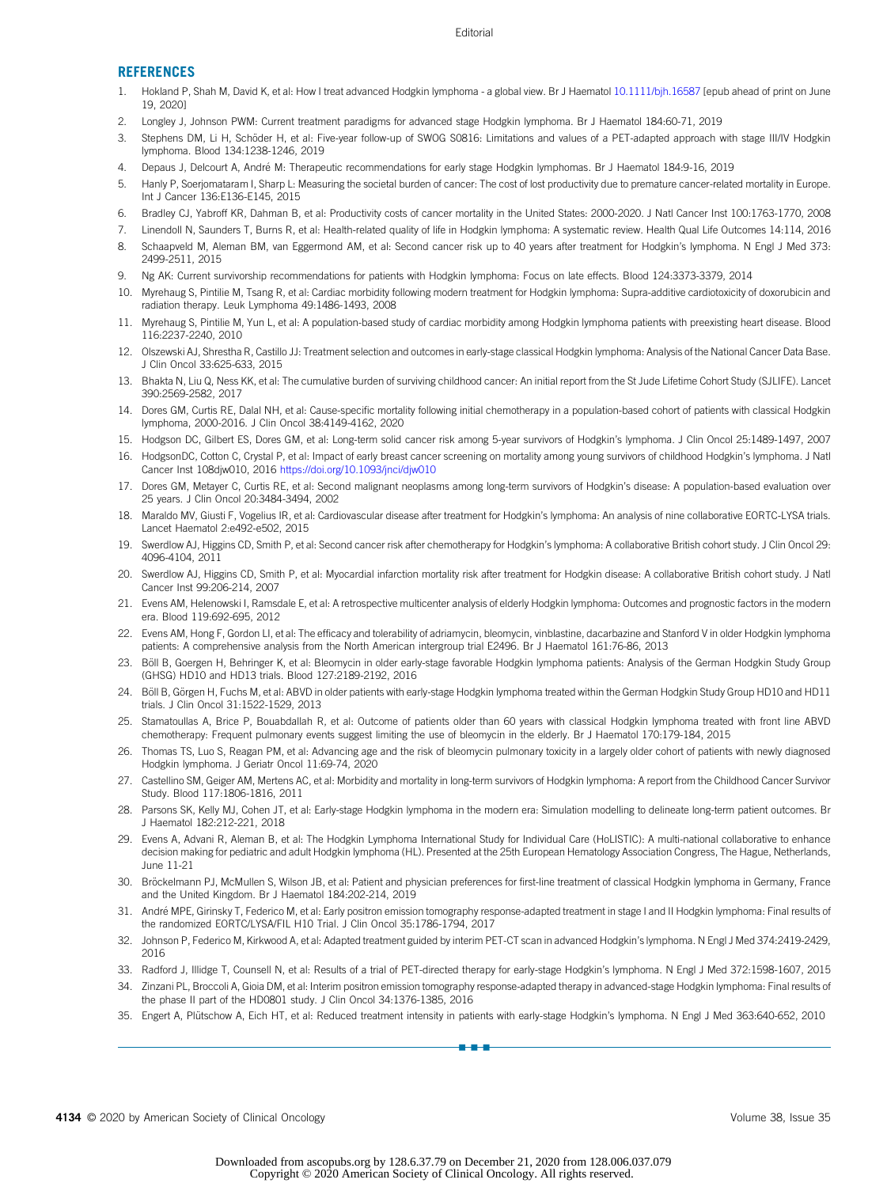## **REFERENCES**

- <span id="page-3-0"></span>1. Hokland P, Shah M, David K, et al: How I treat advanced Hodgkin lymphoma - a global view. Br J Haematol [10.1111/bjh.16587](http://dx.doi.org/10.1111/bjh.16587) [epub ahead of print on June 19, 2020]
- 2. Longley J, Johnson PWM: Current treatment paradigms for advanced stage Hodgkin lymphoma. Br J Haematol 184:60-71, 2019
- 3. Stephens DM, Li H, Schöder H, et al: Five-year follow-up of SWOG S0816: Limitations and values of a PET-adapted approach with stage III/IV Hodgkin lymphoma. Blood 134:1238-1246, 2019
- <span id="page-3-1"></span>4. Depaus J, Delcourt A, Andre M: Therapeutic recommendations for early stage Hodgkin lymphomas. Br J Haematol 184:9-16, 2019 ´
- <span id="page-3-2"></span>5. Hanly P, Soerjomataram I, Sharp L: Measuring the societal burden of cancer: The cost of lost productivity due to premature cancer-related mortality in Europe. Int J Cancer 136:E136-E145, 2015
- <span id="page-3-3"></span>6. Bradley CJ, Yabroff KR, Dahman B, et al: Productivity costs of cancer mortality in the United States: 2000-2020. J Natl Cancer Inst 100:1763-1770, 2008
- <span id="page-3-4"></span>7. Linendoll N, Saunders T, Burns R, et al: Health-related quality of life in Hodgkin lymphoma: A systematic review. Health Qual Life Outcomes 14:114, 2016
- <span id="page-3-5"></span>8. Schaapveld M, Aleman BM, van Eggermond AM, et al: Second cancer risk up to 40 years after treatment for Hodgkin's lymphoma. N Engl J Med 373: 2499-2511, 2015
- <span id="page-3-6"></span>9. Ng AK: Current survivorship recommendations for patients with Hodgkin lymphoma: Focus on late effects. Blood 124:3373-3379, 2014
- <span id="page-3-7"></span>10. Myrehaug S, Pintilie M, Tsang R, et al: Cardiac morbidity following modern treatment for Hodgkin lymphoma: Supra-additive cardiotoxicity of doxorubicin and radiation therapy. Leuk Lymphoma 49:1486-1493, 2008
- <span id="page-3-8"></span>11. Myrehaug S, Pintilie M, Yun L, et al: A population-based study of cardiac morbidity among Hodgkin lymphoma patients with preexisting heart disease. Blood 116:2237-2240, 2010
- <span id="page-3-9"></span>12. Olszewski AJ, Shrestha R, Castillo JJ: Treatment selection and outcomes in early-stage classical Hodgkin lymphoma: Analysis of the National Cancer Data Base. J Clin Oncol 33:625-633, 2015
- <span id="page-3-10"></span>13. Bhakta N, Liu Q, Ness KK, et al: The cumulative burden of surviving childhood cancer: An initial report from the St Jude Lifetime Cohort Study (SJLIFE). Lancet 390:2569-2582, 2017
- <span id="page-3-11"></span>14. Dores GM, Curtis RE, Dalal NH, et al: Cause-specific mortality following initial chemotherapy in a population-based cohort of patients with classical Hodgkin lymphoma, 2000-2016. J Clin Oncol 38:4149-4162, 2020
- <span id="page-3-12"></span>15. Hodgson DC, Gilbert ES, Dores GM, et al: Long-term solid cancer risk among 5-year survivors of Hodgkin's lymphoma. J Clin Oncol 25:1489-1497, 2007
- 16. HodgsonDC, Cotton C, Crystal P, et al: Impact of early breast cancer screening on mortality among young survivors of childhood Hodgkin's lymphoma. J Natl Cancer Inst 108djw010, 2016 <https://doi.org/10.1093/jnci/djw010>
- <span id="page-3-13"></span>17. Dores GM, Metayer C, Curtis RE, et al: Second malignant neoplasms among long-term survivors of Hodgkin's disease: A population-based evaluation over 25 years. J Clin Oncol 20:3484-3494, 2002
- <span id="page-3-14"></span>18. Maraldo MV, Giusti F, Vogelius IR, et al: Cardiovascular disease after treatment for Hodgkin's lymphoma: An analysis of nine collaborative EORTC-LYSA trials. Lancet Haematol 2:e492-e502, 2015
- 19. Swerdlow AJ, Higgins CD, Smith P, et al: Second cancer risk after chemotherapy for Hodgkin's lymphoma: A collaborative British cohort study. J Clin Oncol 29: 4096-4104, 2011
- <span id="page-3-15"></span>20. Swerdlow AJ, Higgins CD, Smith P, et al: Myocardial infarction mortality risk after treatment for Hodgkin disease: A collaborative British cohort study. J Natl Cancer Inst 99:206-214, 2007
- <span id="page-3-16"></span>21. Evens AM, Helenowski I, Ramsdale E, et al: A retrospective multicenter analysis of elderly Hodgkin lymphoma: Outcomes and prognostic factors in the modern era. Blood 119:692-695, 2012
- 22. Evens AM, Hong F, Gordon LI, et al: The efficacy and tolerability of adriamycin, bleomycin, vinblastine, dacarbazine and Stanford V in older Hodgkin lymphoma patients: A comprehensive analysis from the North American intergroup trial E2496. Br J Haematol 161:76-86, 2013
- 23. Böll B, Goergen H, Behringer K, et al: Bleomycin in older early-stage favorable Hodgkin lymphoma patients: Analysis of the German Hodgkin Study Group (GHSG) HD10 and HD13 trials. Blood 127:2189-2192, 2016
- 24. Böll B, Görgen H, Fuchs M, et al: ABVD in older patients with early-stage Hodgkin lymphoma treated within the German Hodgkin Study Group HD10 and HD11 trials. J Clin Oncol 31:1522-1529, 2013
- 25. Stamatoullas A, Brice P, Bouabdallah R, et al: Outcome of patients older than 60 years with classical Hodgkin lymphoma treated with front line ABVD chemotherapy: Frequent pulmonary events suggest limiting the use of bleomycin in the elderly. Br J Haematol 170:179-184, 2015
- <span id="page-3-17"></span>26. Thomas TS, Luo S, Reagan PM, et al: Advancing age and the risk of bleomycin pulmonary toxicity in a largely older cohort of patients with newly diagnosed Hodgkin lymphoma. J Geriatr Oncol 11:69-74, 2020
- <span id="page-3-18"></span>27. Castellino SM, Geiger AM, Mertens AC, et al: Morbidity and mortality in long-term survivors of Hodgkin lymphoma: A report from the Childhood Cancer Survivor Study. Blood 117:1806-1816, 2011
- <span id="page-3-19"></span>28. Parsons SK, Kelly MJ, Cohen JT, et al: Early-stage Hodgkin lymphoma in the modern era: Simulation modelling to delineate long-term patient outcomes. Br J Haematol 182:212-221, 2018
- <span id="page-3-20"></span>29. Evens A, Advani R, Aleman B, et al: The Hodgkin Lymphoma International Study for Individual Care (HoLISTIC): A multi-national collaborative to enhance decision making for pediatric and adult Hodgkin lymphoma (HL). Presented at the 25th European Hematology Association Congress, The Hague, Netherlands, June 11-21
- <span id="page-3-21"></span>30. Bröckelmann PJ, McMullen S, Wilson JB, et al: Patient and physician preferences for first-line treatment of classical Hodgkin lymphoma in Germany, France and the United Kingdom. Br J Haematol 184:202-214, 2019
- <span id="page-3-22"></span>31. André MPE, Girinsky T, Federico M, et al: Early positron emission tomography response-adapted treatment in stage I and II Hodgkin lymphoma: Final results of the randomized EORTC/LYSA/FIL H10 Trial. J Clin Oncol 35:1786-1794, 2017
- 32. Johnson P, Federico M, Kirkwood A, et al: Adapted treatment guided by interim PET-CT scan in advanced Hodgkin's lymphoma. N Engl J Med 374:2419-2429, 2016
- 33. Radford J, Illidge T, Counsell N, et al: Results of a trial of PET-directed therapy for early-stage Hodgkin's lymphoma. N Engl J Med 372:1598-1607, 2015
- 34. Zinzani PL, Broccoli A, Gioia DM, et al: Interim positron emission tomography response-adapted therapy in advanced-stage Hodgkin lymphoma: Final results of the phase II part of the HD0801 study. J Clin Oncol 34:1376-1385, 2016
- <span id="page-3-23"></span>35. Engert A, Plütschow A, Eich HT, et al: Reduced treatment intensity in patients with early-stage Hodgkin's lymphoma. N Engl J Med 363:640-652, 2010 nnn